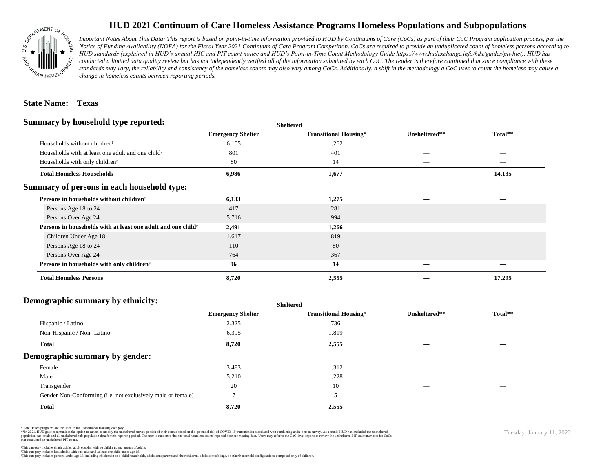

## **HUD 2021 Continuum of Care Homeless Assistance Programs Homeless Populations and Subpopulations**

*Important Notes About This Data: This report is based on point-in-time information provided to HUD by Continuums of Care (CoCs) as part of their CoC Program application process, per the Notice of Funding Availability (NOFA) for the Fiscal Year 2021 Continuum of Care Program Competition. CoCs are required to provide an unduplicated count of homeless persons according to HUD standards (explained in HUD's annual HIC and PIT count notice and HUD's Point-in-Time Count Methodology Guide https://www.hudexchange.info/hdx/guides/pit-hic/). HUD has*  conducted a limited data quality review but has not independently verified all of the information submitted by each CoC. The reader is therefore cautioned that since compliance with these standards may vary, the reliability and consistency of the homeless counts may also vary among CoCs. Additionally, a shift in the methodology a CoC uses to count the homeless may cause a *change in homeless counts between reporting periods.*

#### **State Name: Texas**

#### **Summary by household type reported:**

| Summary by household type reported:                                      |                          | <b>Sheltered</b>             |                                |                                |
|--------------------------------------------------------------------------|--------------------------|------------------------------|--------------------------------|--------------------------------|
|                                                                          | <b>Emergency Shelter</b> | <b>Transitional Housing*</b> | Unsheltered**                  | Total**                        |
| Households without children <sup>1</sup>                                 | 6,105                    | 1,262                        |                                | _                              |
| Households with at least one adult and one child <sup>2</sup>            | 801                      | 401                          |                                |                                |
| Households with only children <sup>3</sup>                               | 80                       | 14                           | $\overbrace{\hspace{25mm}}^{}$ | $\overbrace{\hspace{25mm}}^{}$ |
| <b>Total Homeless Households</b>                                         | 6,986                    | 1,677                        |                                | 14,135                         |
| Summary of persons in each household type:                               |                          |                              |                                |                                |
| Persons in households without children <sup>1</sup>                      | 6,133                    | 1,275                        |                                |                                |
| Persons Age 18 to 24                                                     | 417                      | 281                          | __                             |                                |
| Persons Over Age 24                                                      | 5,716                    | 994                          |                                |                                |
| Persons in households with at least one adult and one child <sup>2</sup> | 2,491                    | 1,266                        |                                |                                |
| Children Under Age 18                                                    | 1,617                    | 819                          | $\overline{\phantom{a}}$       |                                |
| Persons Age 18 to 24                                                     | 110                      | 80                           |                                |                                |
| Persons Over Age 24                                                      | 764                      | 367                          |                                |                                |
| Persons in households with only children <sup>3</sup>                    | 96                       | 14                           |                                |                                |
| <b>Total Homeless Persons</b>                                            | 8,720                    | 2,555                        |                                | 17,295                         |

### **Demographic summary by ethnicity:**

| $D_{\rm CHI}$ $\sim$ $D_{\rm HII}$ $\sim$ $D_{\rm HII}$ $\sim$ $D_{\rm HII}$ $\sim$ $D_{\rm HII}$ $\sim$ $D_{\rm HII}$ $\sim$ $D_{\rm HII}$ | <b>Sheltered</b>         |                              |                          |                          |  |
|---------------------------------------------------------------------------------------------------------------------------------------------|--------------------------|------------------------------|--------------------------|--------------------------|--|
|                                                                                                                                             | <b>Emergency Shelter</b> | <b>Transitional Housing*</b> | Unsheltered**            | Total**                  |  |
| Hispanic / Latino                                                                                                                           | 2,325                    | 736                          |                          | $\overline{\phantom{a}}$ |  |
| Non-Hispanic / Non-Latino                                                                                                                   | 6,395                    | 1,819                        | $\hspace{0.05cm}$        |                          |  |
| <b>Total</b>                                                                                                                                | 8,720                    | 2,555                        |                          |                          |  |
| Demographic summary by gender:                                                                                                              |                          |                              |                          |                          |  |
| Female                                                                                                                                      | 3,483                    | 1,312                        | $-$                      | $\overline{\phantom{a}}$ |  |
| Male                                                                                                                                        | 5,210                    | 1,228                        |                          |                          |  |
| Transgender                                                                                                                                 | 20                       | 10                           |                          | $-$                      |  |
| Gender Non-Conforming (i.e. not exclusively male or female)                                                                                 |                          |                              | $\overline{\phantom{a}}$ |                          |  |
| <b>Total</b>                                                                                                                                | 8,720                    | 2,555                        |                          |                          |  |

\* Safe Haven programs are included in the Transitional Housing category.

\*\*In 2021, HUD gave communities the option to cancel or modify the unsheltered survey portion of their counts based on the potential risk of COVID-19 transmission associated with conducting an in-person survey. As a result n political and distribution of the resort in the constant of the experimental and the constant of the constant of the constant of the constant of the constant of the constant of the constant of the constant of the constan that conducted an unsheltered PIT count.

This category includes persons under age 18, including children in one -child households, adolescent parents and their children, adolescent siblings, or other household configurations composed only of children.